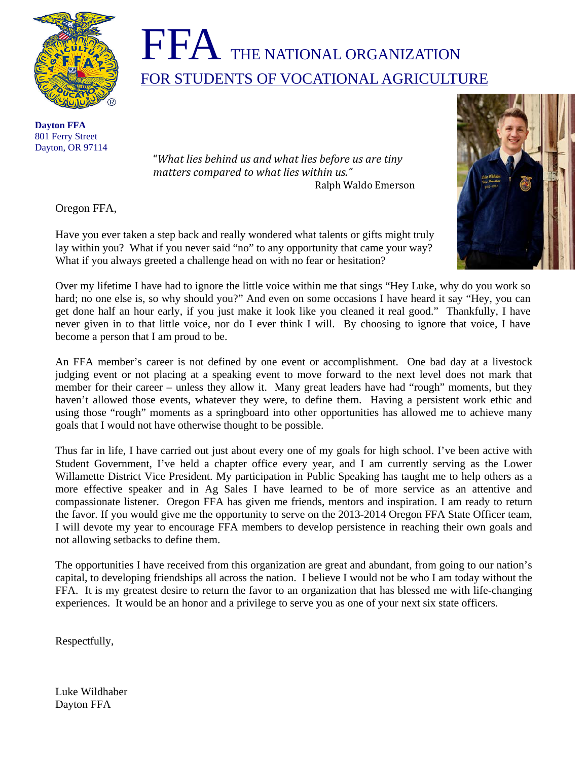



 **Dayton FFA**  801 Ferry Street Dayton, OR 97114

"*What lies behind us and what lies before us are tiny matters compared to what lies wi thin us."* Ralph Waldo Emerson

Oregon FFA,

Have you ever taken a step back and really wondered what talents or gifts might truly lay within you? What if you never said "no" to any opportunity that came your way? What if you always greeted a challenge head on with no fear or hesitation?



Over my lifetime I have had to ignore the little voice within me that sings "Hey Luke, why do you work so hard; no one else is, so why should you?" And even on some occasions I have heard it say "Hey, you can get done half an hour early, if you just make it look like you cleaned it real good." Thankfully, I have never given in to that little voice, nor do I ever think I will. By choosing to ignore that voice, I have become a person that I am proud to be.

An FFA member's career is not defined by one event or accomplishment. One bad day at a livestock judging event or not placing at a speaking event to move forward to the next level does not mark that member for their career – unless they allow it. Many great leaders have had "rough" moments, but they haven't allowed those events, whatever they were, to define them. Having a persistent work ethic and using those "rough" moments as a springboard into other opportunities has allowed me to achieve many goals that I would not have otherwise thought to be possible.

Thus far in life, I have carried out just about every one of my goals for high school. I've been active with Student Government, I've held a chapter office every year, and I am currently serving as the Lower Willamette District Vice President. My participation in Public Speaking has taught me to help others as a more effective speaker and in Ag Sales I have learned to be of more service as an attentive and compassionate listener. Oregon FFA has given me friends, mentors and inspiration. I am ready to return the favor. If you would give me the opportunity to serve on the 2013-2014 Oregon FFA State Officer team, I will devote my year to encourage FFA members to develop persistence in reaching their own goals and not allowing setbacks to define them.

The opportunities I have received from this organization are great and abundant, from going to our nation's capital, to developing friendships all across the nation. I believe I would not be who I am today without the FFA. It is my greatest desire to return the favor to an organization that has blessed me with life-changing experiences. It would be an honor and a privilege to serve you as one of your next six state officers.

Respectfully,

Luke Wildhaber Dayton FFA